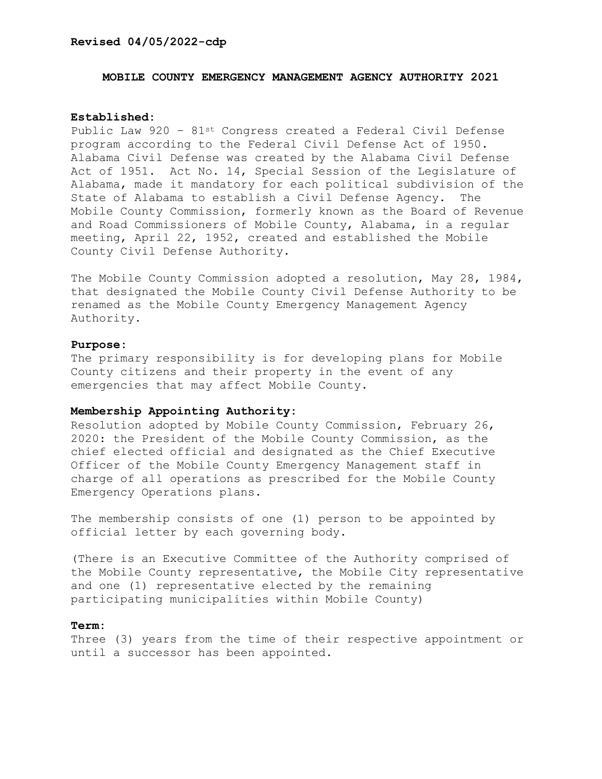#### **Revised 04/05/2022-cdp**

### **MOBILE COUNTY EMERGENCY MANAGEMENT AGENCY AUTHORITY 2021**

#### **Established:**

Public Law 920 – 81st Congress created a Federal Civil Defense program according to the Federal Civil Defense Act of 1950. Alabama Civil Defense was created by the Alabama Civil Defense Act of 1951. Act No. 14, Special Session of the Legislature of Alabama, made it mandatory for each political subdivision of the State of Alabama to establish a Civil Defense Agency. The Mobile County Commission, formerly known as the Board of Revenue and Road Commissioners of Mobile County, Alabama, in a regular meeting, April 22, 1952, created and established the Mobile County Civil Defense Authority.

The Mobile County Commission adopted a resolution, May 28, 1984, that designated the Mobile County Civil Defense Authority to be renamed as the Mobile County Emergency Management Agency Authority.

#### **Purpose:**

The primary responsibility is for developing plans for Mobile County citizens and their property in the event of any emergencies that may affect Mobile County.

### **Membership Appointing Authority:**

Resolution adopted by Mobile County Commission, February 26, 2020: the President of the Mobile County Commission, as the chief elected official and designated as the Chief Executive Officer of the Mobile County Emergency Management staff in charge of all operations as prescribed for the Mobile County Emergency Operations plans.

The membership consists of one (1) person to be appointed by official letter by each governing body.

(There is an Executive Committee of the Authority comprised of the Mobile County representative, the Mobile City representative and one (1) representative elected by the remaining participating municipalities within Mobile County)

#### **Term:**

Three (3) years from the time of their respective appointment or until a successor has been appointed.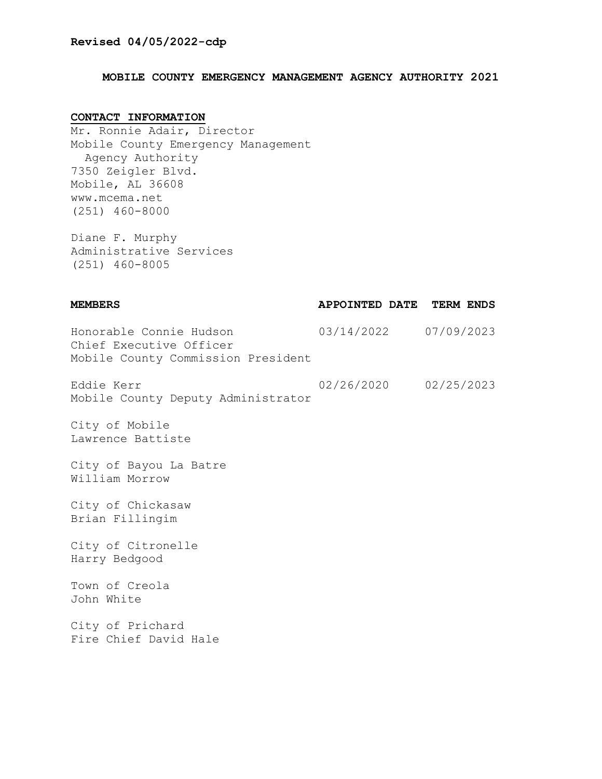# **MOBILE COUNTY EMERGENCY MANAGEMENT AGENCY AUTHORITY 2021**

# **CONTACT INFORMATION**

Mr. Ronnie Adair, Director Mobile County Emergency Management Agency Authority 7350 Zeigler Blvd. Mobile, AL 36608 www.mcema.net (251) 460-8000

Diane F. Murphy Administrative Services (251) 460-8005

| <b>MEMBERS</b>                                                                           | APPOINTED DATE TERM ENDS |  |
|------------------------------------------------------------------------------------------|--------------------------|--|
| Honorable Connie Hudson<br>Chief Executive Officer<br>Mobile County Commission President | 03/14/2022 07/09/2023    |  |
| Eddie Kerr<br>Mobile County Deputy Administrator                                         | 02/26/2020 02/25/2023    |  |
| City of Mobile<br>Lawrence Battiste                                                      |                          |  |
| City of Bayou La Batre<br>William Morrow                                                 |                          |  |
| City of Chickasaw<br>Brian Fillingim                                                     |                          |  |
| City of Citronelle<br>Harry Bedgood                                                      |                          |  |
| Town of Creola<br>John White                                                             |                          |  |
| City of Prichard<br>Fire Chief David Hale                                                |                          |  |